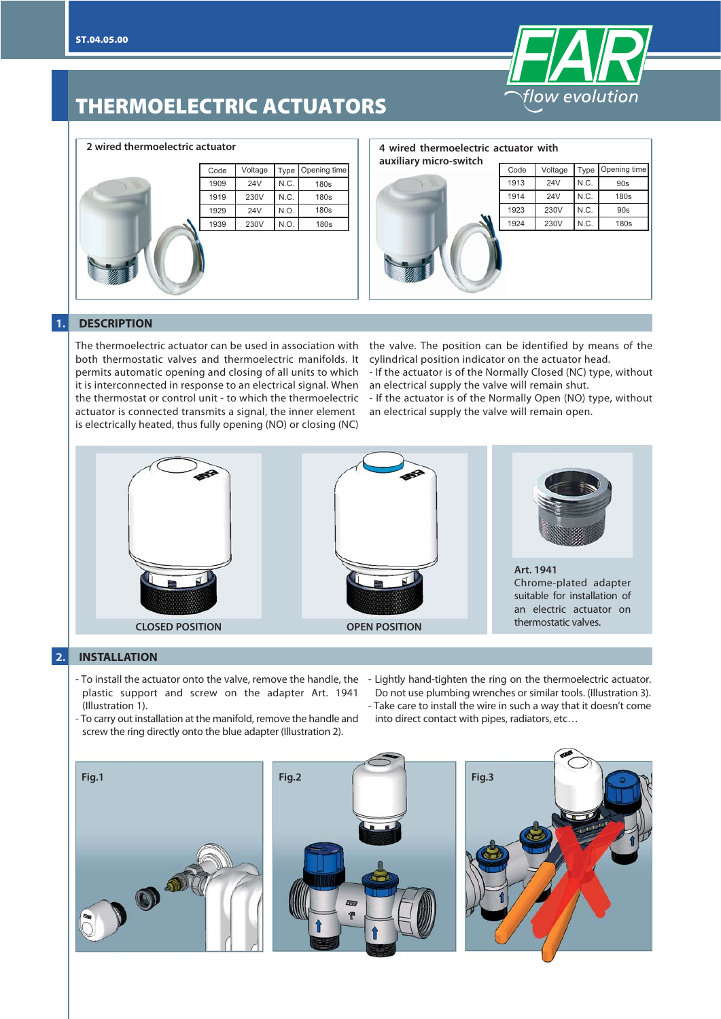

# **THERMOELECTRIC ACTUATORS**

|   | Code | Voltage    | Type | Opening time |
|---|------|------------|------|--------------|
| ٤ | 1909 | <b>24V</b> | N.C. | 180s         |
|   | 1919 | 230V       | N.C. | 180s         |
|   | 1929 | <b>24V</b> | N.O. | <b>180s</b>  |
|   | 1939 | 230V       | N.O. | 180s         |
|   |      |            |      |              |

#### **2 wired thermoelectric actuator 4 wired thermoelectric actuator with**

| auxiliary micro-switch |      |            |      |              |
|------------------------|------|------------|------|--------------|
|                        | Code | Voltage    | Type | Opening time |
| $\blacklozenge$        | 1913 | <b>24V</b> | N.C. | 90s          |
|                        | 1914 | <b>24V</b> | N.C. | 180s         |
|                        | 1923 | 230V       | N.C. | 90s          |
|                        | 1924 | 230V       | N.C. | 180s         |
|                        |      |            |      |              |

#### **1. DESCRIPTION**

The thermoelectric actuator can be used in association with both thermostatic valves and thermoelectric manifolds. It permits automatic opening and closing of all units to which it is interconnected in response to an electrical signal. When the thermostat or control unit - to which the thermoelectric actuator is connected transmits a signal, the inner element is electrically heated, thus fully opening (NO) or closing (NC)

the valve. The position can be identified by means of the cylindrical position indicator on the actuator head.

- If the actuator is of the Normally Closed (NC) type, without an electrical supply the valve will remain shut.

- If the actuator is of the Normally Open (NO) type, without an electrical supply the valve will remain open.



### **2. INSTALLATION**

- To install the actuator onto the valve, remove the handle, the plastic support and screw on the adapter Art. 1941 (Illustration 1). - To carry out installation at the manifold, remove the handle and
- Lightly hand-tighten the ring on the thermoelectric actuator. Do not use plumbing wrenches or similar tools. (Illustration 3). - Take care to install the wire in such a way that it doesn't come into direct contact with pipes, radiators, etc…